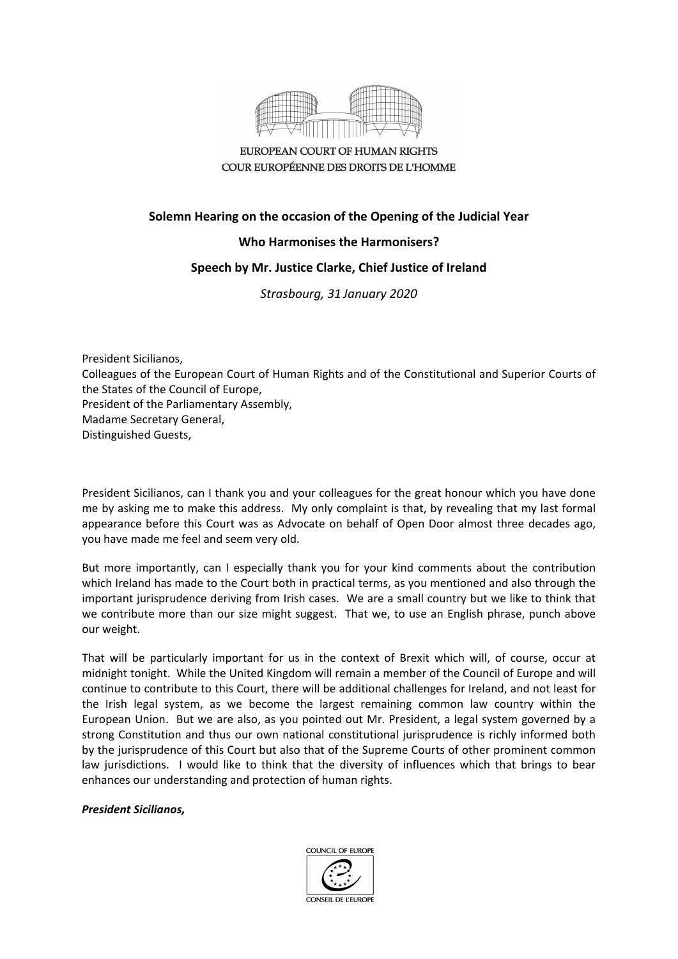

EUROPEAN COURT OF HUMAN RIGHTS COUR EUROPÉENNE DES DROITS DE L'HOMME

## **Solemn Hearing on the occasion of the Opening of the Judicial Year**

## **Who Harmonises the Harmonisers?**

## **Speech by Mr. Justice Clarke, Chief Justice of Ireland**

*Strasbourg, 31 January 2020*

President Sicilianos, Colleagues of the European Court of Human Rights and of the Constitutional and Superior Courts of the States of the Council of Europe, President of the Parliamentary Assembly, Madame Secretary General, Distinguished Guests,

President Sicilianos, can I thank you and your colleagues for the great honour which you have done me by asking me to make this address. My only complaint is that, by revealing that my last formal appearance before this Court was as Advocate on behalf of Open Door almost three decades ago, you have made me feel and seem very old.

But more importantly, can I especially thank you for your kind comments about the contribution which Ireland has made to the Court both in practical terms, as you mentioned and also through the important jurisprudence deriving from Irish cases. We are a small country but we like to think that we contribute more than our size might suggest. That we, to use an English phrase, punch above our weight.

That will be particularly important for us in the context of Brexit which will, of course, occur at midnight tonight. While the United Kingdom will remain a member of the Council of Europe and will continue to contribute to this Court, there will be additional challenges for Ireland, and not least for the Irish legal system, as we become the largest remaining common law country within the European Union. But we are also, as you pointed out Mr. President, a legal system governed by a strong Constitution and thus our own national constitutional jurisprudence is richly informed both by the jurisprudence of this Court but also that of the Supreme Courts of other prominent common law jurisdictions. I would like to think that the diversity of influences which that brings to bear enhances our understanding and protection of human rights.

## *President Sicilianos,*

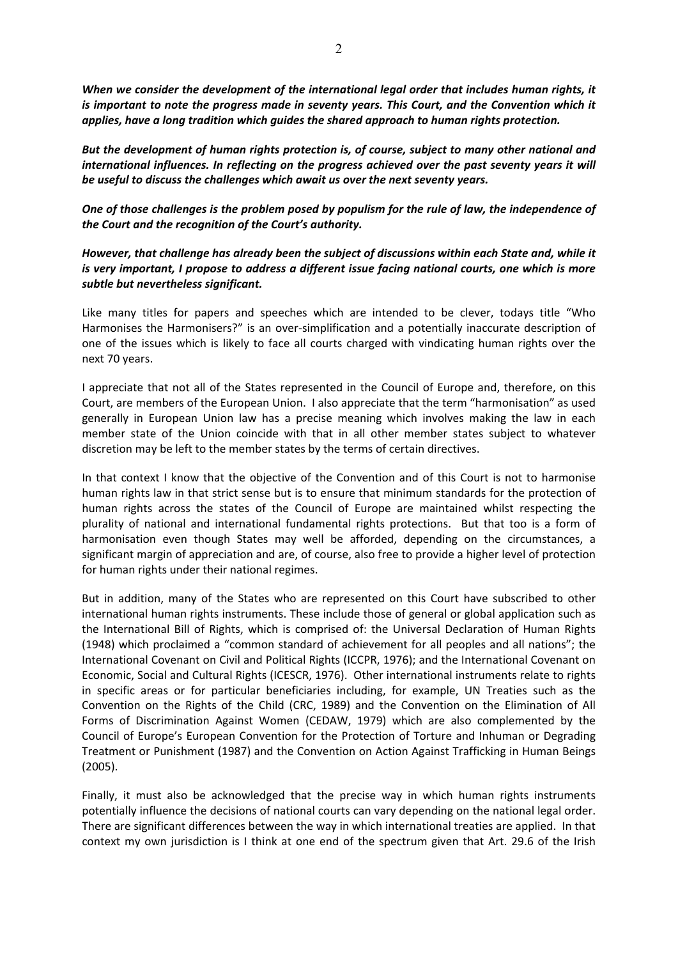*When we consider the development of the international legal order that includes human rights, it is important to note the progress made in seventy years. This Court, and the Convention which it applies, have a long tradition which guides the shared approach to human rights protection.*

*But the development of human rights protection is, of course, subject to many other national and international influences. In reflecting on the progress achieved over the past seventy years it will be useful to discuss the challenges which await us over the next seventy years.*

*One of those challenges is the problem posed by populism for the rule of law, the independence of the Court and the recognition of the Court's authority.*

*However, that challenge has already been the subject of discussions within each State and, while it is very important, I propose to address a different issue facing national courts, one which is more subtle but nevertheless significant.* 

Like many titles for papers and speeches which are intended to be clever, todays title "Who Harmonises the Harmonisers?" is an over-simplification and a potentially inaccurate description of one of the issues which is likely to face all courts charged with vindicating human rights over the next 70 years.

I appreciate that not all of the States represented in the Council of Europe and, therefore, on this Court, are members of the European Union. I also appreciate that the term "harmonisation" as used generally in European Union law has a precise meaning which involves making the law in each member state of the Union coincide with that in all other member states subject to whatever discretion may be left to the member states by the terms of certain directives.

In that context I know that the objective of the Convention and of this Court is not to harmonise human rights law in that strict sense but is to ensure that minimum standards for the protection of human rights across the states of the Council of Europe are maintained whilst respecting the plurality of national and international fundamental rights protections. But that too is a form of harmonisation even though States may well be afforded, depending on the circumstances, a significant margin of appreciation and are, of course, also free to provide a higher level of protection for human rights under their national regimes.

But in addition, many of the States who are represented on this Court have subscribed to other international human rights instruments. These include those of general or global application such as the International Bill of Rights, which is comprised of: the Universal Declaration of Human Rights (1948) which proclaimed a "common standard of achievement for all peoples and all nations"; the International Covenant on Civil and Political Rights (ICCPR, 1976); and the International Covenant on Economic, Social and Cultural Rights (ICESCR, 1976). Other international instruments relate to rights in specific areas or for particular beneficiaries including, for example, UN Treaties such as the Convention on the Rights of the Child (CRC, 1989) and the Convention on the Elimination of All Forms of Discrimination Against Women (CEDAW, 1979) which are also complemented by the Council of Europe's European Convention for the Protection of Torture and Inhuman or Degrading Treatment or Punishment (1987) and the Convention on Action Against Trafficking in Human Beings (2005).

Finally, it must also be acknowledged that the precise way in which human rights instruments potentially influence the decisions of national courts can vary depending on the national legal order. There are significant differences between the way in which international treaties are applied. In that context my own jurisdiction is I think at one end of the spectrum given that Art. 29.6 of the Irish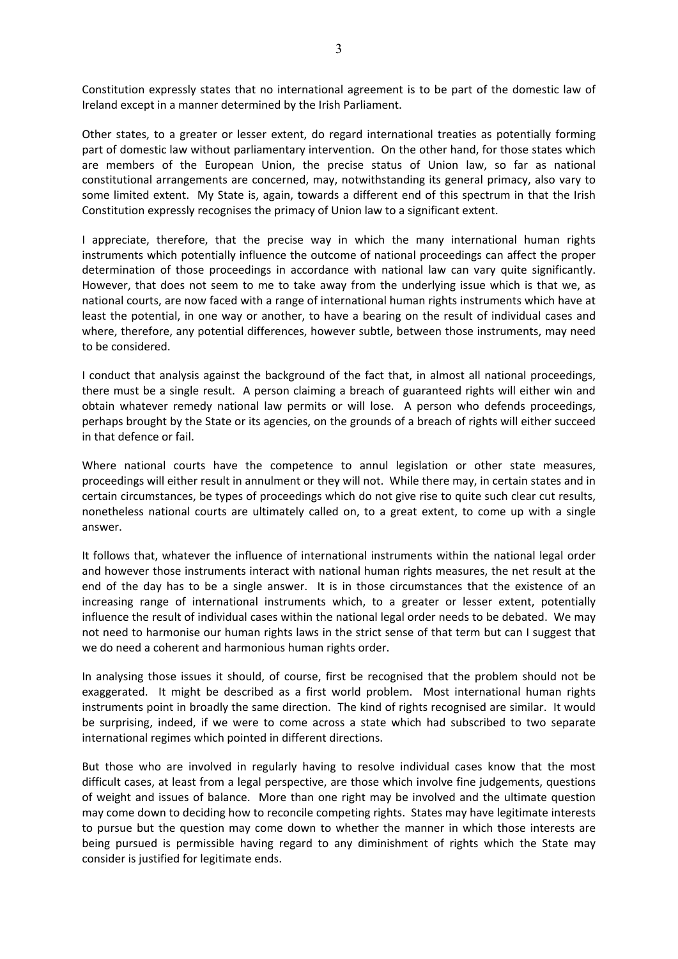Constitution expressly states that no international agreement is to be part of the domestic law of Ireland except in a manner determined by the Irish Parliament.

Other states, to a greater or lesser extent, do regard international treaties as potentially forming part of domestic law without parliamentary intervention. On the other hand, for those states which are members of the European Union, the precise status of Union law, so far as national constitutional arrangements are concerned, may, notwithstanding its general primacy, also vary to some limited extent. My State is, again, towards a different end of this spectrum in that the Irish Constitution expressly recognises the primacy of Union law to a significant extent.

I appreciate, therefore, that the precise way in which the many international human rights instruments which potentially influence the outcome of national proceedings can affect the proper determination of those proceedings in accordance with national law can vary quite significantly. However, that does not seem to me to take away from the underlying issue which is that we, as national courts, are now faced with a range of international human rights instruments which have at least the potential, in one way or another, to have a bearing on the result of individual cases and where, therefore, any potential differences, however subtle, between those instruments, may need to be considered.

I conduct that analysis against the background of the fact that, in almost all national proceedings, there must be a single result. A person claiming a breach of guaranteed rights will either win and obtain whatever remedy national law permits or will lose. A person who defends proceedings, perhaps brought by the State or its agencies, on the grounds of a breach of rights will either succeed in that defence or fail.

Where national courts have the competence to annul legislation or other state measures, proceedings will either result in annulment or they will not. While there may, in certain states and in certain circumstances, be types of proceedings which do not give rise to quite such clear cut results, nonetheless national courts are ultimately called on, to a great extent, to come up with a single answer.

It follows that, whatever the influence of international instruments within the national legal order and however those instruments interact with national human rights measures, the net result at the end of the day has to be a single answer. It is in those circumstances that the existence of an increasing range of international instruments which, to a greater or lesser extent, potentially influence the result of individual cases within the national legal order needs to be debated. We may not need to harmonise our human rights laws in the strict sense of that term but can I suggest that we do need a coherent and harmonious human rights order.

In analysing those issues it should, of course, first be recognised that the problem should not be exaggerated. It might be described as a first world problem. Most international human rights instruments point in broadly the same direction. The kind of rights recognised are similar. It would be surprising, indeed, if we were to come across a state which had subscribed to two separate international regimes which pointed in different directions.

But those who are involved in regularly having to resolve individual cases know that the most difficult cases, at least from a legal perspective, are those which involve fine judgements, questions of weight and issues of balance. More than one right may be involved and the ultimate question may come down to deciding how to reconcile competing rights. States may have legitimate interests to pursue but the question may come down to whether the manner in which those interests are being pursued is permissible having regard to any diminishment of rights which the State may consider is justified for legitimate ends.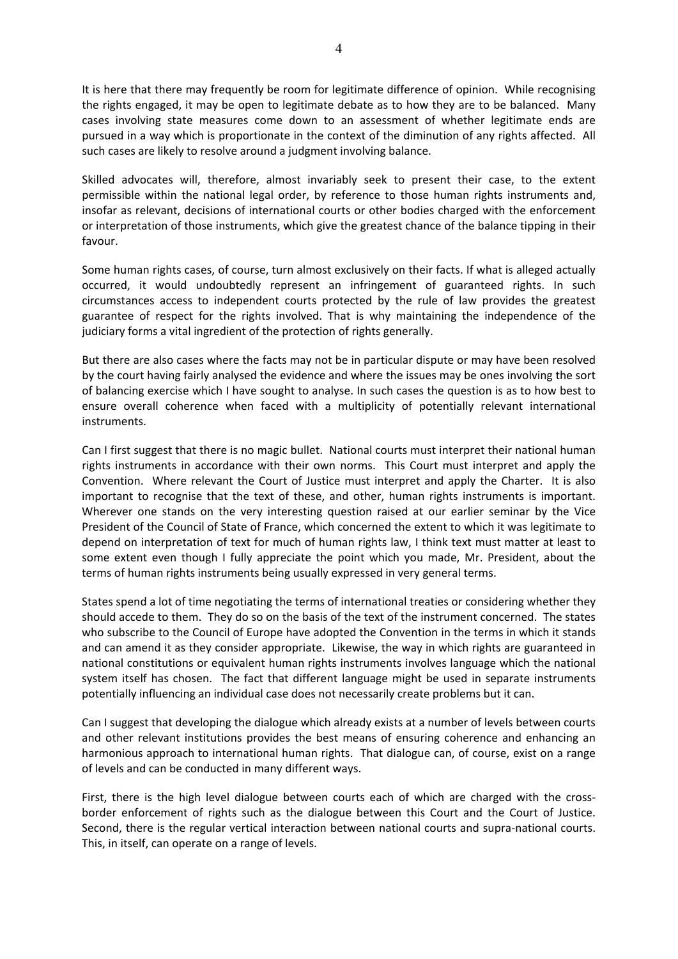It is here that there may frequently be room for legitimate difference of opinion. While recognising the rights engaged, it may be open to legitimate debate as to how they are to be balanced. Many cases involving state measures come down to an assessment of whether legitimate ends are pursued in a way which is proportionate in the context of the diminution of any rights affected. All such cases are likely to resolve around a judgment involving balance.

Skilled advocates will, therefore, almost invariably seek to present their case, to the extent permissible within the national legal order, by reference to those human rights instruments and, insofar as relevant, decisions of international courts or other bodies charged with the enforcement or interpretation of those instruments, which give the greatest chance of the balance tipping in their favour.

Some human rights cases, of course, turn almost exclusively on their facts. If what is alleged actually occurred, it would undoubtedly represent an infringement of guaranteed rights. In such circumstances access to independent courts protected by the rule of law provides the greatest guarantee of respect for the rights involved. That is why maintaining the independence of the judiciary forms a vital ingredient of the protection of rights generally.

But there are also cases where the facts may not be in particular dispute or may have been resolved by the court having fairly analysed the evidence and where the issues may be ones involving the sort of balancing exercise which I have sought to analyse. In such cases the question is as to how best to ensure overall coherence when faced with a multiplicity of potentially relevant international instruments.

Can I first suggest that there is no magic bullet. National courts must interpret their national human rights instruments in accordance with their own norms. This Court must interpret and apply the Convention. Where relevant the Court of Justice must interpret and apply the Charter. It is also important to recognise that the text of these, and other, human rights instruments is important. Wherever one stands on the very interesting question raised at our earlier seminar by the Vice President of the Council of State of France, which concerned the extent to which it was legitimate to depend on interpretation of text for much of human rights law, I think text must matter at least to some extent even though I fully appreciate the point which you made, Mr. President, about the terms of human rights instruments being usually expressed in very general terms.

States spend a lot of time negotiating the terms of international treaties or considering whether they should accede to them. They do so on the basis of the text of the instrument concerned. The states who subscribe to the Council of Europe have adopted the Convention in the terms in which it stands and can amend it as they consider appropriate. Likewise, the way in which rights are guaranteed in national constitutions or equivalent human rights instruments involves language which the national system itself has chosen. The fact that different language might be used in separate instruments potentially influencing an individual case does not necessarily create problems but it can.

Can I suggest that developing the dialogue which already exists at a number of levels between courts and other relevant institutions provides the best means of ensuring coherence and enhancing an harmonious approach to international human rights. That dialogue can, of course, exist on a range of levels and can be conducted in many different ways.

First, there is the high level dialogue between courts each of which are charged with the crossborder enforcement of rights such as the dialogue between this Court and the Court of Justice. Second, there is the regular vertical interaction between national courts and supra-national courts. This, in itself, can operate on a range of levels.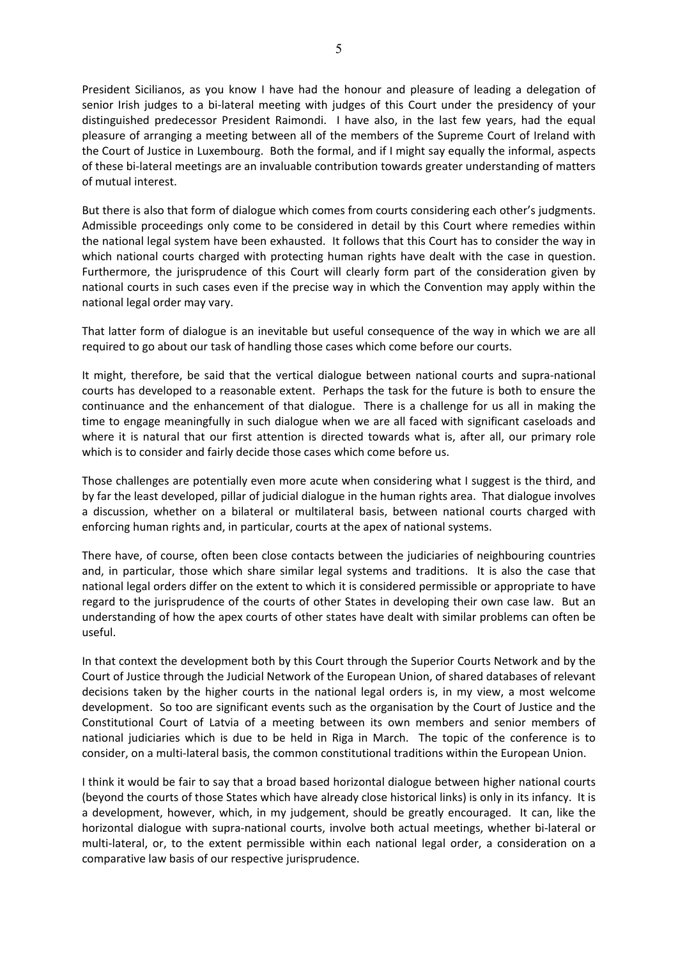President Sicilianos, as you know I have had the honour and pleasure of leading a delegation of senior Irish judges to a bi-lateral meeting with judges of this Court under the presidency of your distinguished predecessor President Raimondi. I have also, in the last few years, had the equal pleasure of arranging a meeting between all of the members of the Supreme Court of Ireland with the Court of Justice in Luxembourg. Both the formal, and if I might say equally the informal, aspects of these bi-lateral meetings are an invaluable contribution towards greater understanding of matters of mutual interest.

But there is also that form of dialogue which comes from courts considering each other's judgments. Admissible proceedings only come to be considered in detail by this Court where remedies within the national legal system have been exhausted. It follows that this Court has to consider the way in which national courts charged with protecting human rights have dealt with the case in question. Furthermore, the jurisprudence of this Court will clearly form part of the consideration given by national courts in such cases even if the precise way in which the Convention may apply within the national legal order may vary.

That latter form of dialogue is an inevitable but useful consequence of the way in which we are all required to go about our task of handling those cases which come before our courts.

It might, therefore, be said that the vertical dialogue between national courts and supra-national courts has developed to a reasonable extent. Perhaps the task for the future is both to ensure the continuance and the enhancement of that dialogue. There is a challenge for us all in making the time to engage meaningfully in such dialogue when we are all faced with significant caseloads and where it is natural that our first attention is directed towards what is, after all, our primary role which is to consider and fairly decide those cases which come before us.

Those challenges are potentially even more acute when considering what I suggest is the third, and by far the least developed, pillar of judicial dialogue in the human rights area. That dialogue involves a discussion, whether on a bilateral or multilateral basis, between national courts charged with enforcing human rights and, in particular, courts at the apex of national systems.

There have, of course, often been close contacts between the judiciaries of neighbouring countries and, in particular, those which share similar legal systems and traditions. It is also the case that national legal orders differ on the extent to which it is considered permissible or appropriate to have regard to the jurisprudence of the courts of other States in developing their own case law. But an understanding of how the apex courts of other states have dealt with similar problems can often be useful.

In that context the development both by this Court through the Superior Courts Network and by the Court of Justice through the Judicial Network of the European Union, of shared databases of relevant decisions taken by the higher courts in the national legal orders is, in my view, a most welcome development. So too are significant events such as the organisation by the Court of Justice and the Constitutional Court of Latvia of a meeting between its own members and senior members of national judiciaries which is due to be held in Riga in March. The topic of the conference is to consider, on a multi-lateral basis, the common constitutional traditions within the European Union.

I think it would be fair to say that a broad based horizontal dialogue between higher national courts (beyond the courts of those States which have already close historical links) is only in its infancy. It is a development, however, which, in my judgement, should be greatly encouraged. It can, like the horizontal dialogue with supra-national courts, involve both actual meetings, whether bi-lateral or multi-lateral, or, to the extent permissible within each national legal order, a consideration on a comparative law basis of our respective jurisprudence.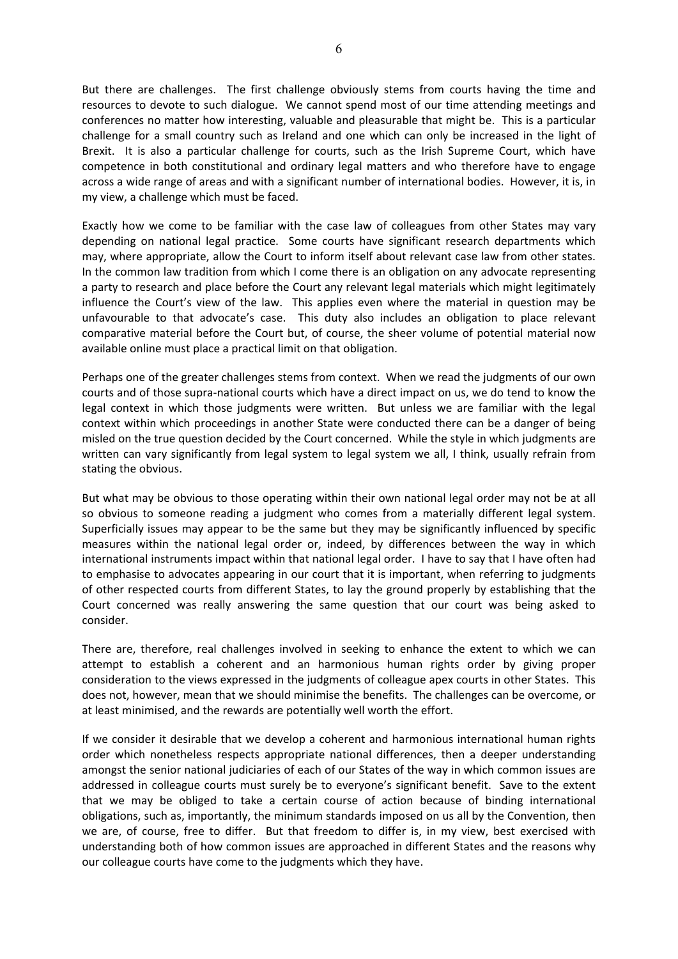But there are challenges. The first challenge obviously stems from courts having the time and resources to devote to such dialogue. We cannot spend most of our time attending meetings and conferences no matter how interesting, valuable and pleasurable that might be. This is a particular challenge for a small country such as Ireland and one which can only be increased in the light of Brexit. It is also a particular challenge for courts, such as the Irish Supreme Court, which have competence in both constitutional and ordinary legal matters and who therefore have to engage across a wide range of areas and with a significant number of international bodies. However, it is, in my view, a challenge which must be faced.

Exactly how we come to be familiar with the case law of colleagues from other States may vary depending on national legal practice. Some courts have significant research departments which may, where appropriate, allow the Court to inform itself about relevant case law from other states. In the common law tradition from which I come there is an obligation on any advocate representing a party to research and place before the Court any relevant legal materials which might legitimately influence the Court's view of the law. This applies even where the material in question may be unfavourable to that advocate's case. This duty also includes an obligation to place relevant comparative material before the Court but, of course, the sheer volume of potential material now available online must place a practical limit on that obligation.

Perhaps one of the greater challenges stems from context. When we read the judgments of our own courts and of those supra-national courts which have a direct impact on us, we do tend to know the legal context in which those judgments were written. But unless we are familiar with the legal context within which proceedings in another State were conducted there can be a danger of being misled on the true question decided by the Court concerned. While the style in which judgments are written can vary significantly from legal system to legal system we all, I think, usually refrain from stating the obvious.

But what may be obvious to those operating within their own national legal order may not be at all so obvious to someone reading a judgment who comes from a materially different legal system. Superficially issues may appear to be the same but they may be significantly influenced by specific measures within the national legal order or, indeed, by differences between the way in which international instruments impact within that national legal order. I have to say that I have often had to emphasise to advocates appearing in our court that it is important, when referring to judgments of other respected courts from different States, to lay the ground properly by establishing that the Court concerned was really answering the same question that our court was being asked to consider.

There are, therefore, real challenges involved in seeking to enhance the extent to which we can attempt to establish a coherent and an harmonious human rights order by giving proper consideration to the views expressed in the judgments of colleague apex courts in other States. This does not, however, mean that we should minimise the benefits. The challenges can be overcome, or at least minimised, and the rewards are potentially well worth the effort.

If we consider it desirable that we develop a coherent and harmonious international human rights order which nonetheless respects appropriate national differences, then a deeper understanding amongst the senior national judiciaries of each of our States of the way in which common issues are addressed in colleague courts must surely be to everyone's significant benefit. Save to the extent that we may be obliged to take a certain course of action because of binding international obligations, such as, importantly, the minimum standards imposed on us all by the Convention, then we are, of course, free to differ. But that freedom to differ is, in my view, best exercised with understanding both of how common issues are approached in different States and the reasons why our colleague courts have come to the judgments which they have.